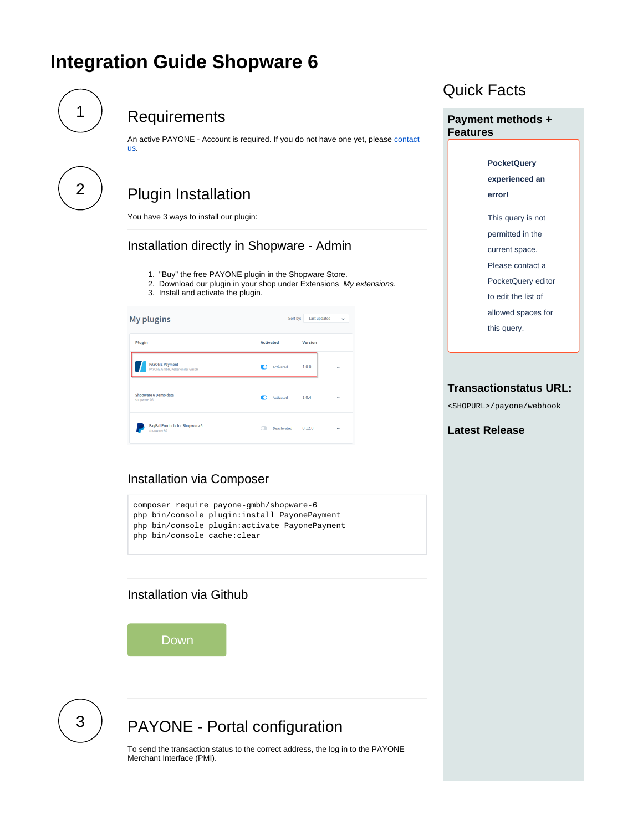# **Integration Guide Shopware 6**

<span id="page-0-3"></span><span id="page-0-0"></span>

# **Requirements**

An active PAYONE - Account is required. If you do not have one yet, please [contact](https://docs.payone.com/display/PLATFORM/Contact)  [us](https://docs.payone.com/display/PLATFORM/Contact).

<span id="page-0-1"></span>

# Plugin Installation

You have 3 ways to install our plugin:

# Installation directly in Shopware - Admin

- 1. "Buy" the free PAYONE plugin in the Shopware Store.
- 2. Download our plugin in your shop under Extensions My extensions.
- 3. Install and activate the plugin.



# Quick Facts

**Payment methods + Features**

> **PocketQuery experienced an error!** This query is not permitted in the current space. Please contact a PocketQuery editor to edit the list of

allowed spaces for

this query.

#### **Transactionstatus URL:**

<SHOPURL>/payone/webhook

#### **Latest Release**

### Installation via Composer

composer require payone-gmbh/shopware-6 php bin/console plugin:install PayonePayment php bin/console plugin:activate PayonePayment php bin/console cache:clear

# Installation via Github

Down

<span id="page-0-2"></span>

# PAYONE - Portal configuration

To send the transaction status to the correct address, the log in to the PAYONE Merchant Interface (PMI).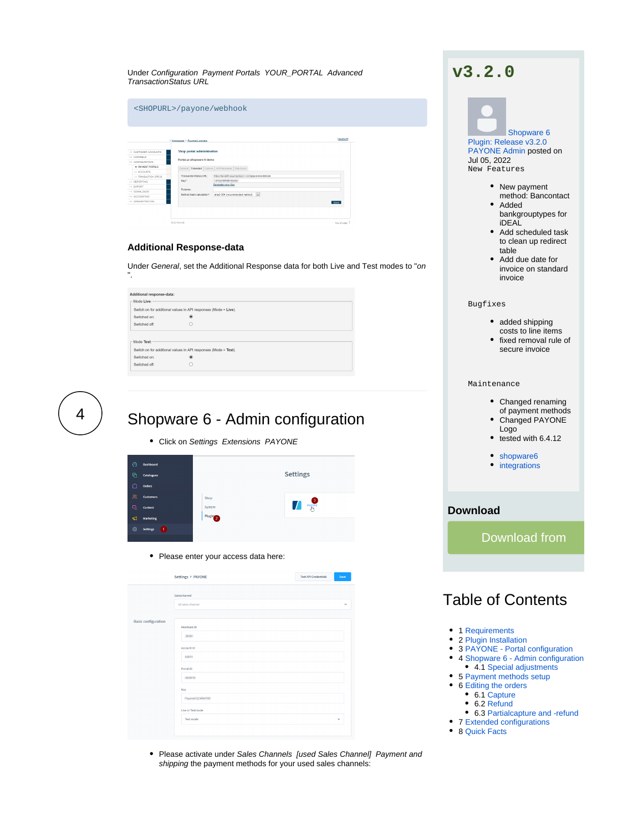| Under Configuration Payment Portals YOUR_PORTAL Advanced |  |  |
|----------------------------------------------------------|--|--|
| <b>TransactionStatus URL</b>                             |  |  |

|                                   | > Homepage > Payment portals |                                                  | <b>Ideutschl</b> |
|-----------------------------------|------------------------------|--------------------------------------------------|------------------|
| $\rightarrow$ CURTOMER ACCOUNTS.  | Shop portal administration   |                                                  |                  |
| $\rightarrow$ CHANNELS            |                              |                                                  |                  |
| $\rightarrow$ CONFIGURATION       | Portal: pi-shopware-6-demo   |                                                  |                  |
| <b>Q PAYMENT PORTALS</b>          |                              | General Extended Options API-Parameter Riskcheck |                  |
| $\rightarrow$ ACCOUNTS            |                              |                                                  |                  |
| $\rightarrow$ TRANSACTION STATUS. | TransactionStatus URL:       | Film is self-see when the spacewebhook           |                  |
| $\rightarrow$ REPORTING           | Key":                        | <b>LESSEN BOARD</b>                              |                  |
| $\rightarrow$ EXPORT              | Purpose:                     | Generate new Key                                 |                  |
| $\rightarrow$ DOWNLOADS           |                              |                                                  |                  |
| $\rightarrow$ ACCOUNTING          | Method hash calculation":    | sha2-384 (recommended method)<br>$\sim$          |                  |
| $\rightarrow$ ADMINISTRATION      |                              |                                                  | Save 1           |
|                                   |                              |                                                  |                  |
|                                   |                              |                                                  |                  |

#### **Additional Response-data**

Under General, set the Additional Response data for both Live and Test modes to "on ".

| <b>Additional response-data:</b>                                |   |  |  |  |
|-----------------------------------------------------------------|---|--|--|--|
| Mode Live:                                                      |   |  |  |  |
| Switch on for additional values in API responses (Mode = Live). |   |  |  |  |
| Switched on:                                                    | ۰ |  |  |  |
| Switched off:                                                   | Ω |  |  |  |
| Mode Test:                                                      |   |  |  |  |
| Switch on for additional values in API responses (Mode = Test). |   |  |  |  |
| Switched on:                                                    | ۰ |  |  |  |
| Switched off:                                                   | O |  |  |  |
|                                                                 |   |  |  |  |

<span id="page-1-0"></span>

# Shopware 6 - Admin configuration

• Click on Settings Extensions PAYONE



• Please enter your access data here:

|                            | Settings > PAYONE             | <b>Test API Credentials</b> | Save         |
|----------------------------|-------------------------------|-----------------------------|--------------|
|                            | Saleschannel                  |                             |              |
|                            | All sales channel             |                             | v            |
|                            |                               |                             |              |
| <b>Basic configuration</b> | Merchant ID                   |                             |              |
|                            | (And)                         |                             |              |
|                            | Account ID                    |                             |              |
|                            | <b>ANTIS</b>                  |                             |              |
|                            | Portal ID                     |                             |              |
|                            | <b>JANETA</b>                 |                             |              |
|                            | Key                           |                             |              |
|                            | <b>Contract Libraries</b>     |                             |              |
|                            | Live or Testmode<br>Test mode |                             | $\checkmark$ |
|                            |                               |                             |              |
|                            |                               |                             |              |

• Please activate under Sales Channels [used Sales Channel] Payment and shipping the payment methods for your used sales channels:

# **v3.2.0**

### [Shopware 6](https://docs.payone.com/display/BLOG/2022/07/05/Shopware+6+Plugin%3A+Release+v3.2.0)  [Plugin: Release v3.2.0](https://docs.payone.com/display/BLOG/2022/07/05/Shopware+6+Plugin%3A+Release+v3.2.0) PAYONE Admin posted on Jul 05, 2022 New Features • New payment method: Bancontact • Added bankgrouptypes for iDEAL

- Add scheduled task to clean up redirect table
- Add due date for invoice on standard invoice

#### Bugfixes

- added shipping
- costs to line items • fixed removal rule of
- secure invoice

#### Maintenance

- Changed renaming of payment methods
- Changed PAYONE Logo
- $\bullet$  tested with 6.4.12
- [shopware6](https://docs.payone.com/label/BLOG/shopware6)
- [integrations](https://docs.payone.com/label/BLOG/integrations)

### **Download**



# Table of Contents

- 1 [Requirements](#page-0-0)
- 2 [Plugin Installation](#page-0-1)
- 3 [PAYONE Portal configuration](#page-0-2)
- 4 [Shopware 6 Admin configuration](#page-1-0) 4.1 [Special adjustments](#page-2-0)
- 
- 5 [Payment methods setup](#page-4-0)
- 6 [Editing the orders](#page-4-1)
	- 6.1 [Capture](#page-4-2) ● 6.2 [Refund](#page-4-3)
	-
- 6.3 [Partialcapture and -refund](#page-5-0) • 7 [Extended configurations](#page-5-1)
- 8 [Quick Facts](#page-0-3)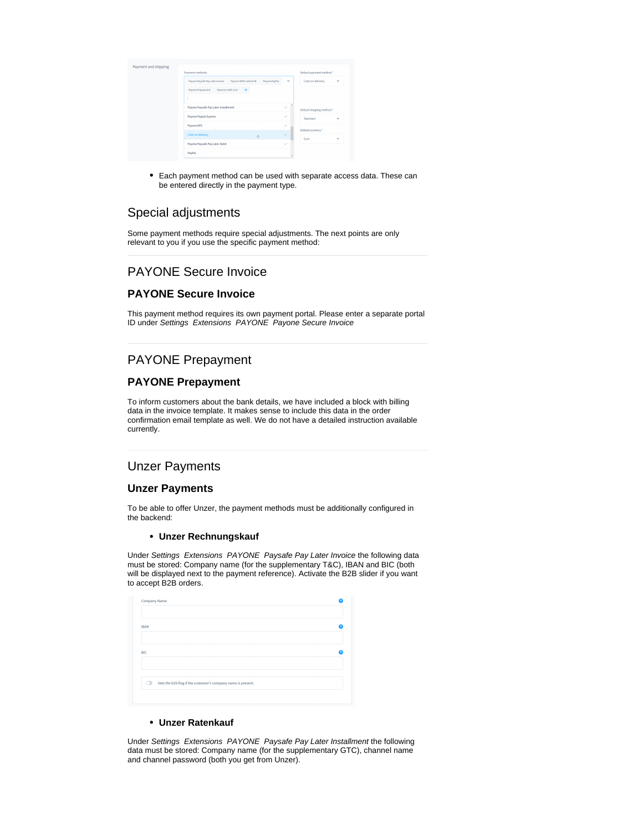| Payment methods                                                              |                  | Default payment method *  |              |
|------------------------------------------------------------------------------|------------------|---------------------------|--------------|
| Payone Paysafe Pay Later Invoice<br>Payone SEPA Lastschrift<br>Payone PayPal | Cash on delivery | v                         |              |
| Payone Credit Card<br>Payone Prepayment<br>$+8$                              |                  |                           |              |
|                                                                              |                  |                           |              |
| Payone Paysafe Pay Later Installment                                         | $\checkmark$     | Default shipping method * |              |
| Payone Paypal Express                                                        | $\checkmark$     | Standard                  | $\checkmark$ |
| Payone EPS                                                                   | $\checkmark$     | Default currency *        |              |
| Cash on delivery<br>ò                                                        | $\checkmark$     | Euro                      | $\checkmark$ |
| Payone Paysafe Pay Later Debit                                               | $\checkmark$     |                           |              |
| PayPal                                                                       |                  |                           |              |

Each payment method can be used with separate access data. These can be entered directly in the payment type.

## <span id="page-2-0"></span>Special adjustments

Some payment methods require special adjustments. The next points are only relevant to you if you use the specific payment method:

## PAYONE Secure Invoice

### **PAYONE Secure Invoice**

This payment method requires its own payment portal. Please enter a separate portal ID under Settings Extensions PAYONE Payone Secure Invoice

## PAYONE Prepayment

#### **PAYONE Prepayment**

To inform customers about the bank details, we have included a block with billing data in the invoice template. It makes sense to include this data in the order confirmation email template as well. We do not have a detailed instruction available currently.

### Unzer Payments

#### **Unzer Payments**

To be able to offer Unzer, the payment methods must be additionally configured in the backend:

#### **Unzer Rechnungskauf**

Under Settings Extensions PAYONE Paysafe Pay Later Invoice the following data must be stored: Company name (for the supplementary T&C), IBAN and BIC (both will be displayed next to the payment reference). Activate the B2B slider if you want to accept B2B orders.

| <b>IBAN</b> |                                                              |  |
|-------------|--------------------------------------------------------------|--|
|             |                                                              |  |
|             |                                                              |  |
| <b>BIC</b>  |                                                              |  |
|             |                                                              |  |
|             |                                                              |  |
| ◠           | Sets the b2b flag if the customer's company name is present. |  |
|             |                                                              |  |

#### **Unzer Ratenkauf**

Under Settings Extensions PAYONE Paysafe Pay Later Installment the following data must be stored: Company name (for the supplementary GTC), channel name and channel password (both you get from Unzer).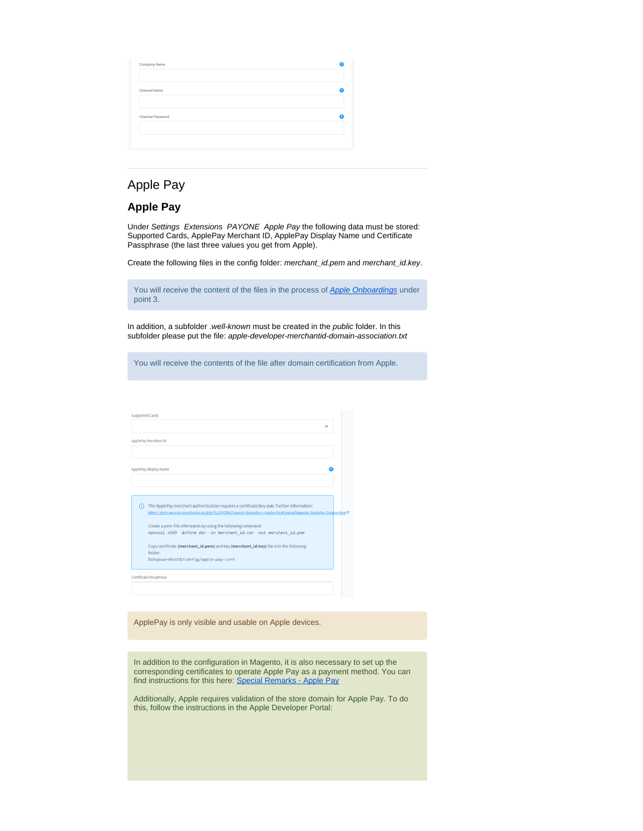| <b>Channel Name</b>     |  |
|-------------------------|--|
| <b>Channel Password</b> |  |
|                         |  |

## Apple Pay

#### **Apple Pay**

Under Settings Extensions PAYONE Apple Pay the following data must be stored: Supported Cards, ApplePay Merchant ID, ApplePay Display Name und Certificate Passphrase (the last three values you get from Apple).

Create the following files in the config folder: merchant\_id.pem and merchant\_id.key.

| You will receive the content of the files in the process of <b>Apple Onboardings</b> under |  |  |  |
|--------------------------------------------------------------------------------------------|--|--|--|
| point 3.                                                                                   |  |  |  |

In addition, a subfolder .well-known must be created in the public folder. In this subfolder please put the file: apple-developer-merchantid-domain-association.txt

You will receive the contents of the file after domain certification from Apple.

| <b>Supported Cards</b>                                                                                                                                                                                            |  |
|-------------------------------------------------------------------------------------------------------------------------------------------------------------------------------------------------------------------|--|
|                                                                                                                                                                                                                   |  |
| ApplePay Merchant ID                                                                                                                                                                                              |  |
|                                                                                                                                                                                                                   |  |
| ApplePay Display Name                                                                                                                                                                                             |  |
|                                                                                                                                                                                                                   |  |
|                                                                                                                                                                                                                   |  |
| The ApplePay merchant authentication requires a certificate/key-pair. Further information:<br>m<br>https://docs.payone.com/display/public/PLATFORM/Special+Remarks+-+Apple+Pay#SpecialRemarks-ApplePay-Onboarding |  |
| Create a pem-File afterwards by using the following command:<br>openssl x509 -inform der -in merchant id.cer -out merchant id.pem                                                                                 |  |
| Copy certificate (merchant_id.pem) and key (merchant_id.key) file into the following<br>folder:                                                                                                                   |  |
| %shopwareRoot%/config/apple-pay-cert                                                                                                                                                                              |  |
| Certificate Passphrase                                                                                                                                                                                            |  |
|                                                                                                                                                                                                                   |  |

ApplePay is only visible and usable on Apple devices.

In addition to the configuration in Magento, it is also necessary to set up the corresponding certificates to operate Apple Pay as a payment method. You can find instructions for this here: [Special Remarks - Apple Pay](https://docs.payone.com/display/PLATFORM/Special+Remarks+-+Apple+Pay)

Additionally, Apple requires validation of the store domain for Apple Pay. To do this, follow the instructions in the Apple Developer Portal: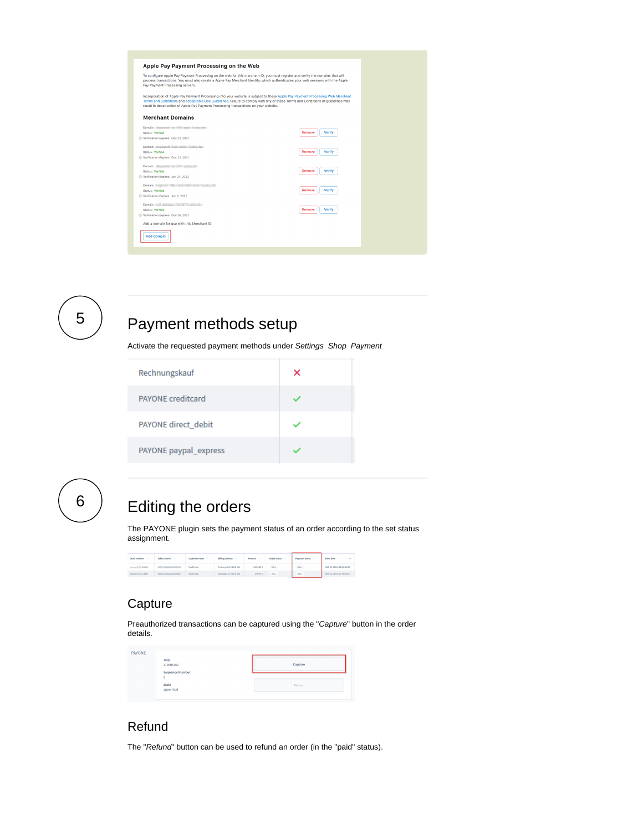| Apple Pay Payment Processing on the Web                                                                                                                                                                                                                                                                                                                 |                  |
|---------------------------------------------------------------------------------------------------------------------------------------------------------------------------------------------------------------------------------------------------------------------------------------------------------------------------------------------------------|------------------|
| To configure Apple Pay Payment Processing on the web for this merchant ID, you must register and verify the domains that will<br>process transactions. You must also create a Apple Pay Merchant Identity, which authenticates your web sessions with the Apple<br>Pay Payment Processing servers.                                                      |                  |
| Incorporation of Apple Pay Payment Processing into your website is subject to these Apple Pay Payment Processing Web Merchant<br>Terms and Conditions and Acceptable Use Guidelines. Failure to comply with any of these Terms and Conditions or guidelines may<br>result in deactivation of Apple Pay Payment Processing transactions on your website. |                  |
| <b>Merchant Domains</b>                                                                                                                                                                                                                                                                                                                                 |                  |
| Domain: silepennil on 1993 again frames for<br><b>Status: Verified</b><br>Verification Expires: Dec 22, 2021                                                                                                                                                                                                                                            | Verify<br>Remove |
| Domain: singuranzi il sul carine ligning des<br><b>Status: Verified</b><br>Verification Expires: Dec 22, 2021                                                                                                                                                                                                                                           | Verify<br>Remove |
| Domain: New York 1999<br><b>Status: Verified</b><br>Verification Expires: Jan 24, 2022                                                                                                                                                                                                                                                                  | Remove<br>Verify |
| Domain: Party of the Committee of the Committee of the Committee of the Committee of the Committee of the Committee of the Committee of the Committee of the Committee of the Committee of the Committee of the Committee of t<br><b>Status: Verified</b><br>Verification Expires: Jan 8, 2022                                                          | Remove<br>Verify |
| Domain: and announced the property of<br><b>Status: Verified</b><br>Verification Expires: Dec 26, 2021                                                                                                                                                                                                                                                  | Remove<br>Verify |
| Add a domain for use with this Merchant ID.                                                                                                                                                                                                                                                                                                             |                  |
| <b>Add Domain</b>                                                                                                                                                                                                                                                                                                                                       |                  |
|                                                                                                                                                                                                                                                                                                                                                         |                  |

<span id="page-4-0"></span>

# $\begin{bmatrix} 5 \end{bmatrix}$  Payment methods setup

Activate the requested payment methods under Settings Shop Payment

| Rechnungskauf            | × |
|--------------------------|---|
| <b>PAYONE</b> creditcard |   |
| PAYONE direct debit      |   |
| PAYONE paypal_express    |   |

<span id="page-4-1"></span>6

# Editing the orders

The PAYONE plugin sets the payment status of an order according to the set status assignment.

| Order number<br><b>Contract</b>        | Sales channel                                  | Cuttomer name<br>$\sim$ | <b>Billing address ---</b> | Amount     | Order status | Payment status - | Order date -              |
|----------------------------------------|------------------------------------------------|-------------------------|----------------------------|------------|--------------|------------------|---------------------------|
| <b><i><u>Department</u></i></b> (2004) | <b>College Street, Street Street, Toronto.</b> | Paul Tester             | Teshweet 123, 24118 Kiel   | 2,003,80 € | <b>Offen</b> | Offen            | 2019-12-10730-28-90-00:00 |
| immediately 10000                      | New shopperstanding                            | Paul Tester             | Textures 123, 24110 Kiel   | 495,95 €   | otio         | celvi            | 2019-12-10730-27-13-00:00 |

# <span id="page-4-2"></span>**Capture**

Preauthorized transactions can be captured using the "Capture" button in the order details.

| <b>PAYONE</b> | <b>TXID</b><br>379606102               | Capture |
|---------------|----------------------------------------|---------|
|               | <b>Sequence Number</b><br>$\mathbf{0}$ |         |
|               | State<br>appointed                     | Refund  |

# <span id="page-4-3"></span>Refund

The "Refund" button can be used to refund an order (in the "paid" status).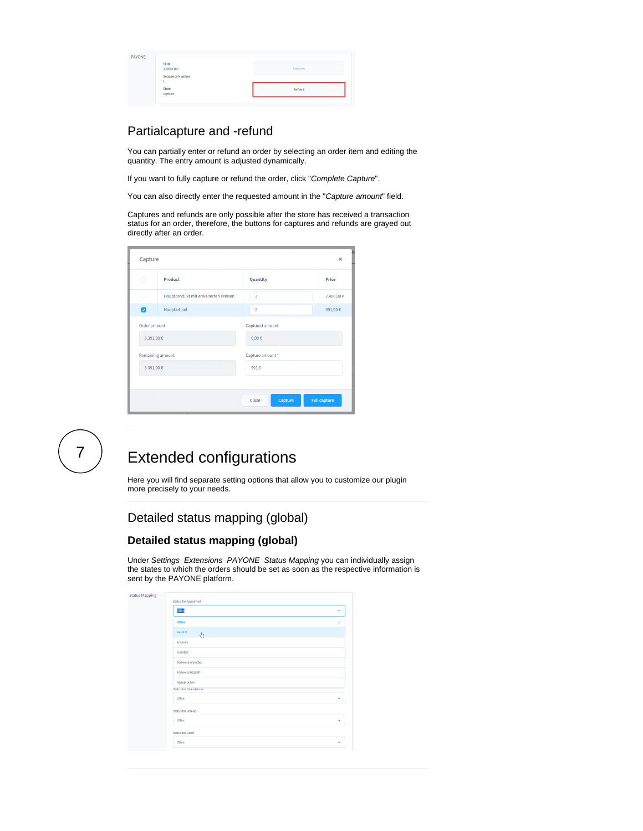| PAYONE | <b>TXID</b><br>379606102 | Capture |
|--------|--------------------------|---------|
|        | <b>Sequence Number</b>   |         |
|        | State<br>capture         | Refund  |

## <span id="page-5-0"></span>Partialcapture and -refund

You can partially enter or refund an order by selecting an order item and editing the quantity. The entry amount is adjusted dynamically.

If you want to fully capture or refund the order, click "Complete Capture".

You can also directly enter the requested amount in the "Capture amount" field.

Captures and refunds are only possible after the store has received a transaction status for an order, therefore, the buttons for captures and refunds are grayed out directly after an order.

| Capture          |                                      |                  |                     |
|------------------|--------------------------------------|------------------|---------------------|
| □                | <b>Product</b>                       | Quantity         | Price               |
| r.               | Hauptprodukt mit erweiterten Preisen | 3                | 2.400,00 €          |
| Ø                | Hauptartikel                         | $\overline{a}$   | 991,90€             |
| Order amount     |                                      | Captured amount  |                     |
| 3.391,90 €       |                                      | $0,00 \in$       |                     |
| Remaining amount |                                      | Capture amount * |                     |
| 3.391,90 €       |                                      | 991.9            |                     |
|                  |                                      |                  |                     |
|                  |                                      | Capture<br>Close | <b>Full capture</b> |

<span id="page-5-1"></span>

# Extended configurations

Here you will find separate setting options that allow you to customize our plugin more precisely to your needs.

# Detailed status mapping (global)

#### **Detailed status mapping (global)**

Under Settings Extensions PAYONE Status Mapping you can individually assign the states to which the orders should be set as soon as the respective information is sent by the PAYONE platform.

| <b>Status Mapping</b> | <b>Status for Appointed</b>         |                          |
|-----------------------|-------------------------------------|--------------------------|
|                       | Offen                               | $\checkmark$             |
|                       | Offen                               | $\overline{\phantom{a}}$ |
|                       | Bezahlt<br>$\mathcal{E}^{\text{h}}$ |                          |
|                       | Erinnert                            |                          |
|                       | Erstattet                           |                          |
|                       | Teilweise erstattet                 |                          |
|                       | <b>Teilweise bezahlt</b>            |                          |
|                       | Abgebrochen                         |                          |
|                       | <b>Status for Cancelation</b>       |                          |
|                       | Offen                               | $\checkmark$             |
|                       | <b>Status for Refund</b>            |                          |
|                       | Offen                               | $\checkmark$             |
|                       | <b>Status for Debit</b>             |                          |
|                       | Offen                               | $\checkmark$             |
|                       |                                     |                          |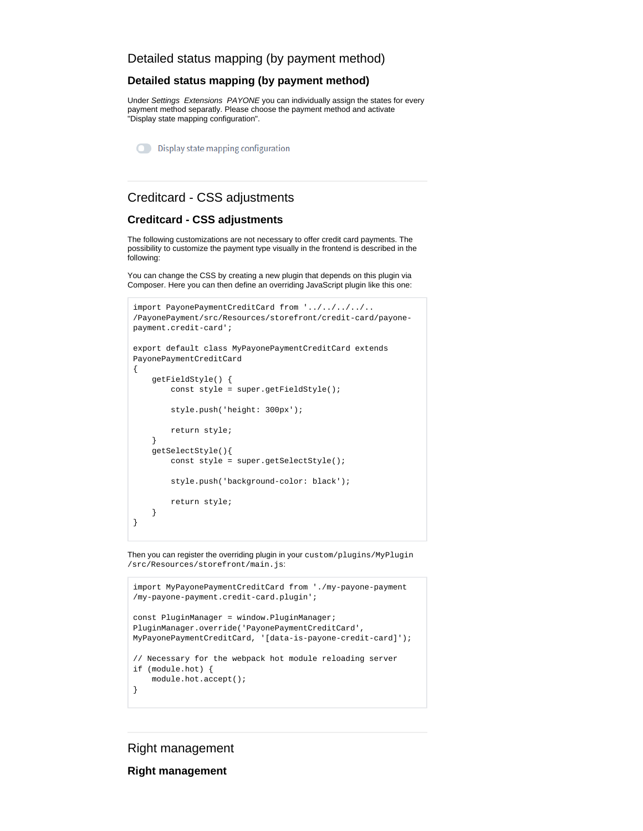### **Detailed status mapping (by payment method)**

Under Settings Extensions PAYONE you can individually assign the states for every payment method separatly. Please choose the payment method and activate "Display state mapping configuration".

**O** Display state mapping configuration

### Creditcard - CSS adjustments

#### **Creditcard - CSS adjustments**

The following customizations are not necessary to offer credit card payments. The possibility to customize the payment type visually in the frontend is described in the following:

You can change the CSS by creating a new plugin that depends on this plugin via Composer. Here you can then define an overriding JavaScript plugin like this one:

```
import PayonePaymentCreditCard from '../../../../..
/PayonePayment/src/Resources/storefront/credit-card/payone-
payment.credit-card';
export default class MyPayonePaymentCreditCard extends 
PayonePaymentCreditCard
{
     getFieldStyle() {
        const style = super.getFieldStyle();
         style.push('height: 300px');
         return style;
     }
     getSelectStyle(){
         const style = super.getSelectStyle();
         style.push('background-color: black');
         return style;
     }
}
```
Then you can register the overriding plugin in your custom/plugins/MyPlugin /src/Resources/storefront/main.js:

```
import MyPayonePaymentCreditCard from './my-payone-payment
/my-payone-payment.credit-card.plugin';
const PluginManager = window.PluginManager;
PluginManager.override('PayonePaymentCreditCard', 
MyPayonePaymentCreditCard, '[data-is-payone-credit-card]');
// Necessary for the webpack hot module reloading server
if (module.hot) {
    module.hot.accept();
}
```
### Right management

**Right management**